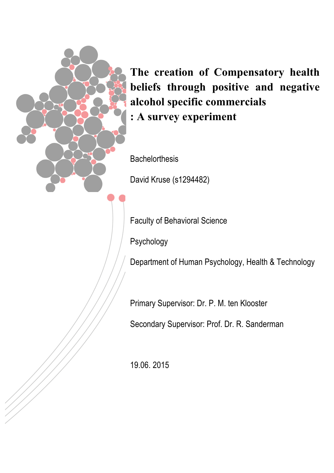

**The creation of Compensatory health beliefs through positive and negative alcohol specific commercials : A survey experiment**

**Bachelorthesis** 

David Kruse (s1294482)

Faculty of Behavioral Science

Psychology

Department of Human Psychology, Health & Technology

Primary Supervisor: Dr. P. M. ten Klooster

Secondary Supervisor: Prof. Dr. R. Sanderman

19.06. 2015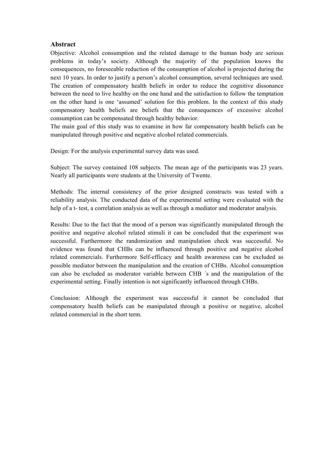# **Abstract**

Objective: Alcohol consumption and the related damage to the human body are serious problems in today's society. Although the majority of the population knows the consequences, no foreseeable reduction of the consumption of alcohol is projected during the next 10 years. In order to justify a person's alcohol consumption, several techniques are used. The creation of compensatory health beliefs in order to reduce the cognitive dissonance between the need to live healthy on the one hand and the satisfaction to follow the temptation on the other hand is one 'assumed' solution for this problem. In the context of this study compensatory health beliefs are beliefs that the consequences of excessive alcohol consumption can be compensated through healthy behavior.

The main goal of this study was to examine in how far compensatory health beliefs can be manipulated through positive and negative alcohol related commercials.

Design: For the analysis experimental survey data was used.

Subject: The survey contained 108 subjects. The mean age of the participants was 23 years. Nearly all participants were students at the University of Twente.

Methods: The internal consistency of the prior designed constructs was tested with a reliability analysis. The conducted data of the experimental setting were evaluated with the help of a t- test, a correlation analysis as well as through a mediator and moderator analysis.

Results: Due to the fact that the mood of a person was significantly manipulated through the positive and negative alcohol related stimuli it can be concluded that the experiment was successful. Furthermore the randomization and manipulation check was successful. No evidence was found that CHBs can be influenced through positive and negative alcohol related commercials. Furthermore Self-efficacy and health awareness can be excluded as possible mediator between the manipulation and the creation of CHBs. Alcohol consumption can also be excluded as moderator variable between CHB ´s and the manipulation of the experimental setting. Finally intention is not significantly influenced through CHBs.

Conclusion: Although the experiment was successful it cannot be concluded that compensatory health beliefs can be manipulated through a positive or negative, alcohol related commercial in the short term.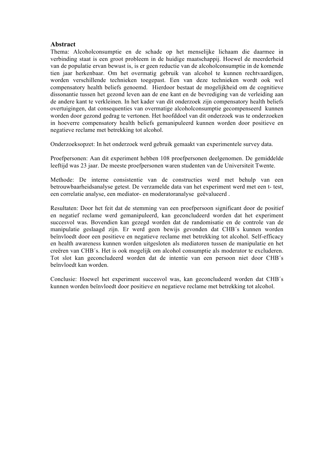# **Abstract**

Thema: Alcoholconsumptie en de schade op het menselijke lichaam die daarmee in verbinding staat is een groot probleem in de huidige maatschappij. Hoewel de meerderheid van de populatie ervan bewust is, is er geen reductie van de alcoholconsumptie in de komende tien jaar herkenbaar. Om het overmatig gebruik van alcohol te kunnen rechtvaardigen, worden verschillende technieken toegepast. Een van deze technieken wordt ook wel compensatory health beliefs genoemd. Hierdoor bestaat de mogelijkheid om de cognitieve dissonantie tussen het gezond leven aan de ene kant en de bevrediging van de verleiding aan de andere kant te verkleinen. In het kader van dit onderzoek zijn compensatory health beliefs overtuigingen, dat consequenties van overmatige alcoholconsumptie gecompenseerd kunnen worden door gezond gedrag te vertonen. Het hoofddoel van dit onderzoek was te onderzoeken in hoeverre compensatory health beliefs gemanipuleerd kunnen worden door positieve en negatieve reclame met betrekking tot alcohol.

Onderzoeksopzet: In het onderzoek werd gebruik gemaakt van experimentele survey data.

Proefpersonen: Aan dit experiment hebben 108 proefpersonen deelgenomen. De gemiddelde leeftijd was 23 jaar. De meeste proefpersonen waren studenten van de Universiteit Twente.

Methode: De interne consistentie van de constructies werd met behulp van een betrouwbaarheidsanalyse getest. De verzamelde data van het experiment werd met een t- test, een correlatie analyse, een mediator- en moderatoranalyse geëvalueerd .

Resultaten: Door het feit dat de stemming van een proefpersoon significant door de positief en negatief reclame werd gemanipuleerd, kan geconcludeerd worden dat het experiment succesvol was. Bovendien kan gezegd worden dat de randomisatie en de controle van de manipulatie geslaagd zijn. Er werd geen bewijs gevonden dat CHB´s kunnen worden beïnvloedt door een positieve en negatieve reclame met betrekking tot alcohol. Self-efficacy en health awareness kunnen worden uitgesloten als mediatoren tussen de manipulatie en het creëren van CHB´s. Het is ook mogelijk om alcohol consumptie als moderator te excluderen. Tot slot kan geconcludeerd worden dat de intentie van een persoon niet door CHB´s beïnvloedt kan worden.

Conclusie: Hoewel het experiment succesvol was, kan geconcludeerd worden dat CHB´s kunnen worden beïnvloedt door positieve en negatieve reclame met betrekking tot alcohol.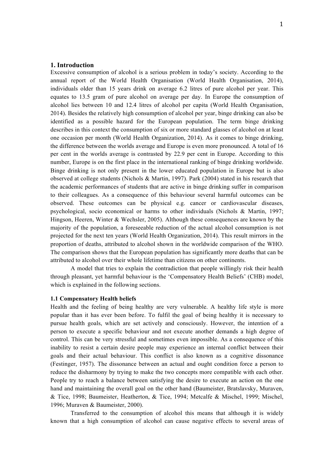# **1. Introduction**

Excessive consumption of alcohol is a serious problem in today's society. According to the annual report of the World Health Organisation (World Health Organisation, 2014), individuals older than 15 years drink on average 6.2 litres of pure alcohol per year. This equates to 13.5 gram of pure alcohol on average per day. In Europe the consumption of alcohol lies between 10 and 12.4 litres of alcohol per capita (World Health Organisation, 2014). Besides the relatively high consumption of alcohol per year, binge drinking can also be identified as a possible hazard for the European population. The term binge drinking describes in this context the consumption of six or more standard glasses of alcohol on at least one occasion per month (World Health Organization, 2014). As it comes to binge drinking, the difference between the worlds average and Europe is even more pronounced. A total of 16 per cent in the worlds average is contrasted by 22.9 per cent in Europe. According to this number, Europe is on the first place in the international ranking of binge drinking worldwide. Binge drinking is not only present in the lower educated population in Europe but is also observed at college students (Nichols & Martin, 1997). Park (2004) stated in his research that the academic performances of students that are active in binge drinking suffer in comparison to their colleagues. As a consequence of this behaviour several harmful outcomes can be observed. These outcomes can be physical e.g. cancer or cardiovascular diseases, psychological, socio economical or harms to other individuals (Nichols & Martin, 1997; Hingson, Heeren, Winter & Wechsler, 2005). Although these consequences are known by the majority of the population, a foreseeable reduction of the actual alcohol consumption is not projected for the next ten years (World Health Organization, 2014). This result mirrors in the proportion of deaths, attributed to alcohol shown in the worldwide comparison of the WHO. The comparison shows that the European population has significantly more deaths that can be attributed to alcohol over their whole lifetime than citizens on other continents.

A model that tries to explain the contradiction that people willingly risk their health through pleasant, yet harmful behaviour is the 'Compensatory Health Beliefs' (CHB) model, which is explained in the following sections.

# **1.1 Compensatory Health beliefs**

Health and the feeling of being healthy are very vulnerable. A healthy life style is more popular than it has ever been before. To fulfil the goal of being healthy it is necessary to pursue health goals, which are set actively and consciously. However, the intention of a person to execute a specific behaviour and not execute another demands a high degree of control. This can be very stressful and sometimes even impossible. As a consequence of this inability to resist a certain desire people may experience an internal conflict between their goals and their actual behaviour. This conflict is also known as a cognitive dissonance (Festinger, 1957). The dissonance between an actual and ought condition force a person to reduce the disharmony by trying to make the two concepts more compatible with each other. People try to reach a balance between satisfying the desire to execute an action on the one hand and maintaining the overall goal on the other hand (Baumeister, Bratslavsky, Muraven, & Tice, 1998; Baumeister, Heatherton, & Tice, 1994; Metcalfe & Mischel, 1999; Mischel, 1996; Muraven & Baumeister, 2000).

Transferred to the consumption of alcohol this means that although it is widely known that a high consumption of alcohol can cause negative effects to several areas of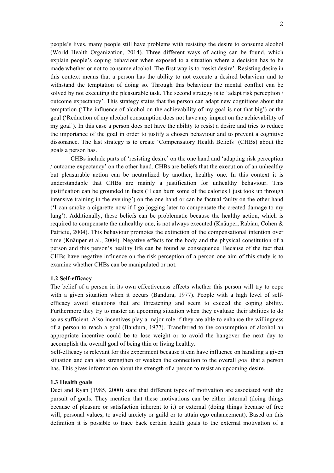people's lives, many people still have problems with resisting the desire to consume alcohol (World Health Organization, 2014). Three different ways of acting can be found, which explain people's coping behaviour when exposed to a situation where a decision has to be made whether or not to consume alcohol. The first way is to 'resist desire'. Resisting desire in this context means that a person has the ability to not execute a desired behaviour and to withstand the temptation of doing so. Through this behaviour the mental conflict can be solved by not executing the pleasurable task. The second strategy is to 'adapt risk perception / outcome expectancy'. This strategy states that the person can adapt new cognitions about the temptation ('The influence of alcohol on the achievability of my goal is not that big') or the goal ('Reduction of my alcohol consumption does not have any impact on the achievability of my goal'). In this case a person does not have the ability to resist a desire and tries to reduce the importance of the goal in order to justify a chosen behaviour and to prevent a cognitive dissonance. The last strategy is to create 'Compensatory Health Beliefs' (CHBs) about the goals a person has.

CHBs include parts of 'resisting desire' on the one hand and 'adapting risk perception / outcome expectancy' on the other hand. CHBs are beliefs that the execution of an unhealthy but pleasurable action can be neutralized by another, healthy one. In this context it is understandable that CHBs are mainly a justification for unhealthy behaviour. This justification can be grounded in facts ('I can burn some of the calories I just took up through intensive training in the evening') on the one hand or can be factual faulty on the other hand ('I can smoke a cigarette now if I go jogging later to compensate the created damage to my lung'). Additionally, these beliefs can be problematic because the healthy action, which is required to compensate the unhealthy one, is not always executed (Knäuper, Rabiau, Cohen & Patriciu, 2004). This behaviour promotes the extinction of the compensational intention over time (Knäuper et al., 2004). Negative effects for the body and the physical constitution of a person and this person's healthy life can be found as consequence. Because of the fact that CHBs have negative influence on the risk perception of a person one aim of this study is to examine whether CHBs can be manipulated or not.

#### **1.2 Self-efficacy**

The belief of a person in its own effectiveness effects whether this person will try to cope with a given situation when it occurs (Bandura, 1977). People with a high level of selfefficacy avoid situations that are threatening and seem to exceed the coping ability. Furthermore they try to master an upcoming situation when they evaluate their abilities to do so as sufficient. Also incentives play a major role if they are able to enhance the willingness of a person to reach a goal (Bandura, 1977). Transferred to the consumption of alcohol an appropriate incentive could be to lose weight or to avoid the hangover the next day to accomplish the overall goal of being thin or living healthy.

Self-efficacy is relevant for this experiment because it can have influence on handling a given situation and can also strengthen or weaken the connection to the overall goal that a person has. This gives information about the strength of a person to resist an upcoming desire.

# **1.3 Health goals**

Deci and Ryan (1985, 2000) state that different types of motivation are associated with the pursuit of goals. They mention that these motivations can be either internal (doing things because of pleasure or satisfaction inherent to it) or external (doing things because of free will, personal values, to avoid anxiety or guild or to attain ego enhancement). Based on this definition it is possible to trace back certain health goals to the external motivation of a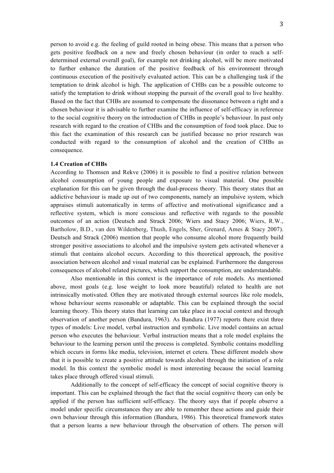person to avoid e.g. the feeling of guild rooted in being obese. This means that a person who gets positive feedback on a new and freely chosen behaviour (in order to reach a selfdetermined external overall goal), for example not drinking alcohol, will be more motivated to further enhance the duration of the positive feedback of his environment through continuous execution of the positively evaluated action. This can be a challenging task if the temptation to drink alcohol is high. The application of CHBs can be a possible outcome to satisfy the temptation to drink without stopping the pursuit of the overall goal to live healthy. Based on the fact that CHBs are assumed to compensate the dissonance between a right and a chosen behaviour it is advisable to further examine the influence of self-efficacy in reference to the social cognitive theory on the introduction of CHBs in people's behaviour. In past only research with regard to the creation of CHBs and the consumption of food took place. Due to this fact the examination of this research can be justified because no prior research was conducted with regard to the consumption of alcohol and the creation of CHBs as consequence.

# **1.4 Creation of CHBs**

According to Thomsen and Rekve (2006) it is possible to find a positive relation between alcohol consumption of young people and exposure to visual material. One possible explanation for this can be given through the dual-process theory. This theory states that an addictive behaviour is made up out of two components, namely an impulsive system, which appraises stimuli automatically in terms of affective and motivational significance and a reflective system, which is more conscious and reflective with regards to the possible outcomes of an action (Deutsch and Strack 2006; Wiers and Stacy 2006; Wiers, R.W., Bartholow, B.D., van den Wildenberg, Thush, Engels, Sher, Grenard, Ames & Stacy 2007). Deutsch and Strack (2006) mention that people who consume alcohol more frequently build stronger positive associations to alcohol and the impulsive system gets activated whenever a stimuli that contains alcohol occurs. According to this theoretical approach, the positive association between alcohol and visual material can be explained. Furthermore the dangerous consequences of alcohol related pictures, which support the consumption, are understandable.

Also mentionable in this context is the importance of role models. As mentioned above, most goals (e.g. lose weight to look more beautiful) related to health are not intrinsically motivated. Often they are motivated through external sources like role models, whose behaviour seems reasonable or adaptable. This can be explained through the social learning theory. This theory states that learning can take place in a social context and through observation of another person (Bandura, 1963). As Bandura (1977) reports there exist three types of models: Live model, verbal instruction and symbolic. Live model contains an actual person who executes the behaviour. Verbal instruction means that a role model explains the behaviour to the learning person until the process is completed. Symbolic contains modelling which occurs in forms like media, television, internet et cetera. These different models show that it is possible to create a positive attitude towards alcohol through the initiation of a role model. In this context the symbolic model is most interesting because the social learning takes place through offered visual stimuli.

Additionally to the concept of self-efficacy the concept of social cognitive theory is important. This can be explained through the fact that the social cognitive theory can only be applied if the person has sufficient self-efficacy. The theory says that if people observe a model under specific circumstances they are able to remember these actions and guide their own behaviour through this information (Bandura, 1986). This theoretical framework states that a person learns a new behaviour through the observation of others. The person will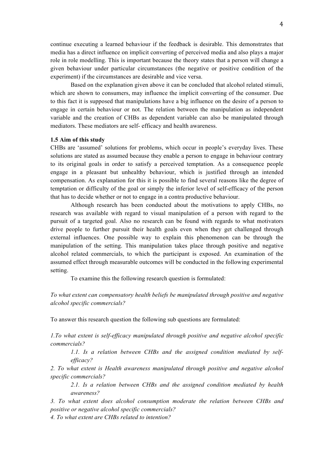continue executing a learned behaviour if the feedback is desirable. This demonstrates that media has a direct influence on implicit converting of perceived media and also plays a major role in role modelling. This is important because the theory states that a person will change a given behaviour under particular circumstances (the negative or positive condition of the experiment) if the circumstances are desirable and vice versa.

Based on the explanation given above it can be concluded that alcohol related stimuli, which are shown to consumers, may influence the implicit converting of the consumer. Due to this fact it is supposed that manipulations have a big influence on the desire of a person to engage in certain behaviour or not. The relation between the manipulation as independent variable and the creation of CHBs as dependent variable can also be manipulated through mediators. These mediators are self- efficacy and health awareness.

### **1.5 Aim of this study**

CHBs are 'assumed' solutions for problems, which occur in people's everyday lives. These solutions are stated as assumed because they enable a person to engage in behaviour contrary to its original goals in order to satisfy a perceived temptation. As a consequence people engage in a pleasant but unhealthy behaviour, which is justified through an intended compensation. As explanation for this it is possible to find several reasons like the degree of temptation or difficulty of the goal or simply the inferior level of self-efficacy of the person that has to decide whether or not to engage in a contra productive behaviour.

Although research has been conducted about the motivations to apply CHBs, no research was available with regard to visual manipulation of a person with regard to the pursuit of a targeted goal. Also no research can be found with regards to what motivators drive people to further pursuit their health goals even when they get challenged through external influences. One possible way to explain this phenomenon can be through the manipulation of the setting. This manipulation takes place through positive and negative alcohol related commercials, to which the participant is exposed. An examination of the assumed effect through measurable outcomes will be conducted in the following experimental setting.

To examine this the following research question is formulated:

*To what extent can compensatory health beliefs be manipulated through positive and negative alcohol specific commercials?* 

To answer this research question the following sub questions are formulated:

*1.To what extent is self-efficacy manipulated through positive and negative alcohol specific commercials?*

*1.1. Is a relation between CHBs and the assigned condition mediated by selfefficacy?*

*2. To what extent is Health awareness manipulated through positive and negative alcohol specific commercials?*

*2.1. Is a relation between CHBs and the assigned condition mediated by health awareness?*

*3. To what extent does alcohol consumption moderate the relation between CHBs and positive or negative alcohol specific commercials?* 

*4. To what extent are CHBs related to intention?*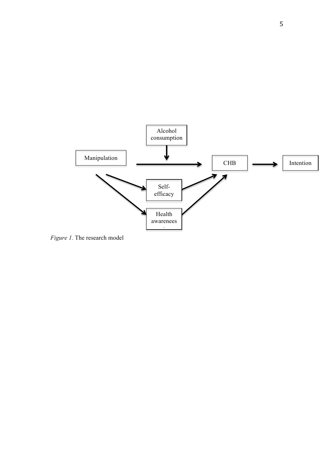

*Figure 1.* The research model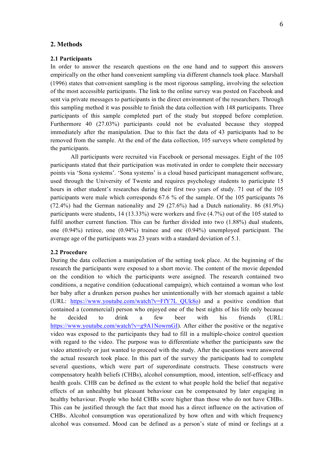### **2. Methods**

# **2.1 Participants**

In order to answer the research questions on the one hand and to support this answers empirically on the other hand convenient sampling via different channels took place. Marshall (1996) states that convenient sampling is the most rigorous sampling, involving the selection of the most accessible participants. The link to the online survey was posted on Facebook and sent via private messages to participants in the direct environment of the researchers. Through this sampling method it was possible to finish the data collection with 148 participants. Three participants of this sample completed part of the study but stopped before completion. Furthermore 40 (27.03%) participants could not be evaluated because they stopped immediately after the manipulation. Due to this fact the data of 43 participants had to be removed from the sample. At the end of the data collection, 105 surveys where completed by the participants.

All participants were recruited via Facebook or personal messages. Eight of the 105 participants stated that their participation was motivated in order to complete their necessary points via 'Sona systems'. 'Sona systems' is a cloud based participant management software, used through the University of Twente and requires psychology students to participate 15 hours in other student's researches during their first two years of study. 71 out of the 105 participants were male which corresponds 67.6 % of the sample. Of the 105 participants 76 (72.4%) had the German nationality and 29 (27.6%) had a Dutch nationality. 86 (81.9%) participants were students, 14 (13.33%) were workers and five (4.7%) out of the 105 stated to fulfil another current function. This can be further divided into two  $(1.88\%)$  dual students, one (0.94%) retiree, one (0.94%) trainee and one (0.94%) unemployed participant. The average age of the participants was 23 years with a standard deviation of 5.1.

### **2.2 Procedure**

During the data collection a manipulation of the setting took place. At the beginning of the research the participants were exposed to a short movie. The content of the movie depended on the condition to which the participants were assigned. The research contained two conditions, a negative condition (educational campaign), which contained a woman who lost her baby after a drunken person pushes her unintentionally with her stomach against a table (URL: https://www.youtube.com/watch?v=FfY7L\_QUk8o) and a positive condition that contained a (commercial) person who enjoyed one of the best nights of his life only because he decided to drink a few beer with his friends (URL: https://www.youtube.com/watch?v=g9A1NowrnGI). After either the positive or the negative video was exposed to the participants they had to fill in a multiple-choice control question with regard to the video. The purpose was to differentiate whether the participants saw the video attentively or just wanted to proceed with the study. After the questions were answered the actual research took place. In this part of the survey the participants had to complete several questions, which were part of superordinate constructs. These constructs were compensatory health beliefs (CHBs), alcohol consumption, mood, intention, self-efficacy and health goals. CHB can be defined as the extent to what people hold the belief that negative effects of an unhealthy but pleasant behaviour can be compensated by later engaging in healthy behaviour. People who hold CHBs score higher than those who do not have CHBs. This can be justified through the fact that mood has a direct influence on the activation of CHBs. Alcohol consumption was operationalized by how often and with which frequency alcohol was consumed. Mood can be defined as a person's state of mind or feelings at a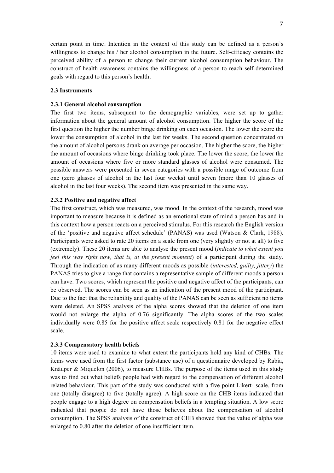certain point in time. Intention in the context of this study can be defined as a person's willingness to change his / her alcohol consumption in the future. Self-efficacy contains the perceived ability of a person to change their current alcohol consumption behaviour. The construct of health awareness contains the willingness of a person to reach self-determined goals with regard to this person's health.

# **2.3 Instruments**

### **2.3.1 General alcohol consumption**

The first two items, subsequent to the demographic variables, were set up to gather information about the general amount of alcohol consumption. The higher the score of the first question the higher the number binge drinking on each occasion. The lower the score the lower the consumption of alcohol in the last for weeks. The second question concentrated on the amount of alcohol persons drank on average per occasion. The higher the score, the higher the amount of occasions where binge drinking took place. The lower the score, the lower the amount of occasions where five or more standard glasses of alcohol were consumed. The possible answers were presented in seven categories with a possible range of outcome from one (zero glasses of alcohol in the last four weeks) until seven (more than 10 glasses of alcohol in the last four weeks). The second item was presented in the same way.

### **2.3.2 Positive and negative affect**

The first construct, which was measured, was mood. In the context of the research, mood was important to measure because it is defined as an emotional state of mind a person has and in this context how a person reacts on a perceived stimulus. For this research the English version of the 'positive and negative affect schedule' (PANAS) was used (Watson & Clark, 1988). Participants were asked to rate 20 items on a scale from one (very slightly or not at all) to five (extremely). These 20 items are able to analyse the present mood (*indicate to what extent you feel this way right now, that is, at the present moment*) of a participant during the study. Through the indication of as many different moods as possible (*interested, guilty, jittery*) the PANAS tries to give a range that contains a representative sample of different moods a person can have. Two scores, which represent the positive and negative affect of the participants, can be observed. The scores can be seen as an indication of the present mood of the participant. Due to the fact that the reliability and quality of the PANAS can be seen as sufficient no items were deleted. An SPSS analysis of the alpha scores showed that the deletion of one item would not enlarge the alpha of 0.76 significantly. The alpha scores of the two scales individually were 0.85 for the positive affect scale respectively 0.81 for the negative effect scale.

### **2.3.3 Compensatory health beliefs**

10 items were used to examine to what extent the participants hold any kind of CHBs. The items were used from the first factor (substance use) of a questionnaire developed by Rabia, Knäuper & Miquelon (2006), to measure CHBs. The purpose of the items used in this study was to find out what beliefs people had with regard to the compensation of different alcohol related behaviour. This part of the study was conducted with a five point Likert- scale, from one (totally disagree) to five (totally agree). A high score on the CHB items indicated that people engage to a high degree on compensation beliefs in a tempting situation. A low score indicated that people do not have those believes about the compensation of alcohol consumption. The SPSS analysis of the construct of CHB showed that the value of alpha was enlarged to 0.80 after the deletion of one insufficient item.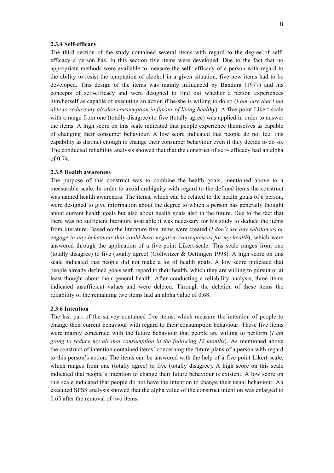#### **2.3.4 Self-efficacy**

The third section of the study contained several items with regard to the degree of selfefficacy a person has. In this section five items were developed. Due to the fact that no appropriate methods were available to measure the self- efficacy of a person with regard to the ability to resist the temptation of alcohol in a given situation, five new items had to be developed. This design of the items was mainly influenced by Bandura (1977) and his concepts of self-efficacy and were designed to find out whether a person experiences him/herself as capable of executing an action if he/she is willing to do so (*I am sure that I am able to reduce my alcohol consumption in favour of living healthy*). A five-point Likert-scale with a range from one (totally disagree) to five (totally agree) was applied in order to answer the items. A high score on this scale indicated that people experience themselves as capable of changing their consumer behaviour. A low score indicated that people do not feel this capability as distinct enough to change their consumer behaviour even if they decide to do so. The conducted reliability analysis showed that that the construct of self- efficacy had an alpha of 0.74.

### **2.3.5 Health awareness**

The purpose of this construct was to combine the health goals, mentioned above to a measurable scale. In order to avoid ambiguity with regard to the defined items the construct was named health awareness. The items, which can be related to the health goals of a person, were designed to give information about the degree to which a person has generally thought about current health goals but also about health goals also in the future. Due to the fact that there was no sufficient literature available it was necessary for his study to deduce the items from literature. Based on the literature five items were created (*I don´t use any substances or engage in any behaviour that could have negative consequences for my health*), which were answered through the application of a five-point Likert-scale. This scale ranges from one (totally disagree) to five (totally agree) (Gollwitzer  $\&$  Oettingen 1998). A high score on this scale indicated that people did not make a lot of health goals. A low score indicated that people already defined goals with regard to their health, which they are willing to pursuit or at least thought about their general health. After conducting a reliability analysis, three items indicated insufficient values and were deleted. Through the deletion of these items the reliability of the remaining two items had an alpha value of 0.68.

### **2.3.6 Intention**

The last part of the survey contained five items, which measure the intention of people to change their current behaviour with regard to their consumption behaviour. These five items were mainly concerned with the future behaviour that people are willing to perform (*I am going to reduce my alcohol consumption in the following 12 months*). As mentioned above the construct of intention contained items' concerning the future plans of a person with regard to this person's action. The items can be answered with the help of a five point Likert-scale, which ranges from one (totally agree) to five (totally disagree). A high score on this scale indicated that people's intention to change their future behaviour is existent. A low score on this scale indicated that people do not have the intention to change their usual behaviour. An executed SPSS analysis showed that the alpha value of the construct intention was enlarged to 0.65 after the removal of two items.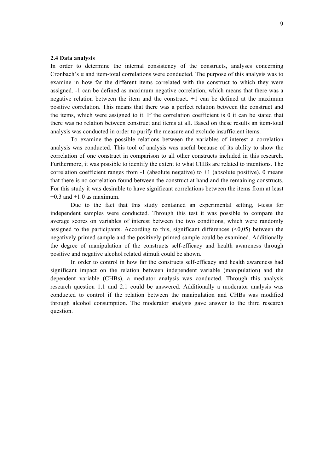#### **2.4 Data analysis**

In order to determine the internal consistency of the constructs, analyses concerning Cronbach's  $\alpha$  and item-total correlations were conducted. The purpose of this analysis was to examine in how far the different items correlated with the construct to which they were assigned. -1 can be defined as maximum negative correlation, which means that there was a negative relation between the item and the construct. +1 can be defined at the maximum positive correlation. This means that there was a perfect relation between the construct and the items, which were assigned to it. If the correlation coefficient is 0 it can be stated that there was no relation between construct and items at all. Based on these results an item-total analysis was conducted in order to purify the measure and exclude insufficient items.

To examine the possible relations between the variables of interest a correlation analysis was conducted. This tool of analysis was useful because of its ability to show the correlation of one construct in comparison to all other constructs included in this research. Furthermore, it was possible to identify the extent to what CHBs are related to intentions. The correlation coefficient ranges from  $-1$  (absolute negative) to  $+1$  (absolute positive). 0 means that there is no correlation found between the construct at hand and the remaining constructs. For this study it was desirable to have significant correlations between the items from at least  $+0.3$  and  $+1.0$  as maximum.

Due to the fact that this study contained an experimental setting, t-tests for independent samples were conducted. Through this test it was possible to compare the average scores on variables of interest between the two conditions, which were randomly assigned to the participants. According to this, significant differences  $($ <0,05 $)$  between the negatively primed sample and the positively primed sample could be examined. Additionally the degree of manipulation of the constructs self-efficacy and health awareness through positive and negative alcohol related stimuli could be shown.

In order to control in how far the constructs self-efficacy and health awareness had significant impact on the relation between independent variable (manipulation) and the dependent variable (CHBs), a mediator analysis was conducted. Through this analysis research question 1.1 and 2.1 could be answered. Additionally a moderator analysis was conducted to control if the relation between the manipulation and CHBs was modified through alcohol consumption. The moderator analysis gave answer to the third research question.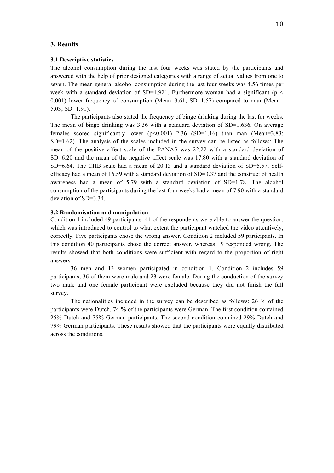## **3. Results**

# **3.1 Descriptive statistics**

The alcohol consumption during the last four weeks was stated by the participants and answered with the help of prior designed categories with a range of actual values from one to seven. The mean general alcohol consumption during the last four weeks was 4.56 times per week with a standard deviation of SD=1.921. Furthermore woman had a significant ( $p <$ 0.001) lower frequency of consumption (Mean= $3.61$ ; SD= $1.57$ ) compared to man (Mean= 5.03; SD=1.91).

The participants also stated the frequency of binge drinking during the last for weeks. The mean of binge drinking was 3.36 with a standard deviation of SD=1.636. On average females scored significantly lower  $(p<0.001)$  2.36 (SD=1.16) than man (Mean=3.83; SD=1.62). The analysis of the scales included in the survey can be listed as follows: The mean of the positive affect scale of the PANAS was 22.22 with a standard deviation of SD=6.20 and the mean of the negative affect scale was 17.80 with a standard deviation of SD=6.64. The CHB scale had a mean of 20.13 and a standard deviation of SD=5.57. Selfefficacy had a mean of 16.59 with a standard deviation of SD=3.37 and the construct of health awareness had a mean of 5.79 with a standard deviation of SD=1.78. The alcohol consumption of the participants during the last four weeks had a mean of 7.90 with a standard deviation of SD=3.34.

### **3.2 Randomisation and manipulation**

Condition 1 included 49 participants. 44 of the respondents were able to answer the question, which was introduced to control to what extent the participant watched the video attentively, correctly. Five participants chose the wrong answer. Condition 2 included 59 participants. In this condition 40 participants chose the correct answer, whereas 19 responded wrong. The results showed that both conditions were sufficient with regard to the proportion of right answers.

36 men and 13 women participated in condition 1. Condition 2 includes 59 participants, 36 of them were male and 23 were female. During the conduction of the survey two male and one female participant were excluded because they did not finish the full survey.

The nationalities included in the survey can be described as follows: 26 % of the participants were Dutch, 74 % of the participants were German. The first condition contained 25% Dutch and 75% German participants. The second condition contained 29% Dutch and 79% German participants. These results showed that the participants were equally distributed across the conditions.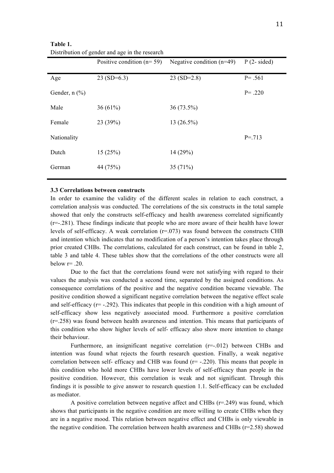|                    | Positive condition $(n=59)$ | Negative condition $(n=49)$ | $P(2-sided)$ |
|--------------------|-----------------------------|-----------------------------|--------------|
| Age                | $23(SD=6.3)$                | $23(SD=2.8)$                | $P = .561$   |
| Gender, $n$ $(\%)$ |                             |                             | $P = .220$   |
| Male               | 36 $(61%)$                  | $36(73.5\%)$                |              |
| Female             | 23(39%)                     | $13(26.5\%)$                |              |
| Nationality        |                             |                             | $P = 713$    |
| Dutch              | 15(25%)                     | 14(29%)                     |              |
| German             | 44 (75%)                    | 35(71%)                     |              |

**Table 1.**  Distribution of gender and age in the research

#### **3.3 Correlations between constructs**

In order to examine the validity of the different scales in relation to each construct, a correlation analysis was conducted. The correlations of the six constructs in the total sample showed that only the constructs self-efficacy and health awareness correlated significantly (r=-.281). These findings indicate that people who are more aware of their health have lower levels of self-efficacy. A weak correlation  $(r=0.073)$  was found between the constructs CHB and intention which indicates that no modification of a person's intention takes place through prior created CHBs. The correlations, calculated for each construct, can be found in table 2, table 3 and table 4. These tables show that the correlations of the other constructs were all below  $r=20$ .

Due to the fact that the correlations found were not satisfying with regard to their values the analysis was conducted a second time, separated by the assigned conditions. As consequence correlations of the positive and the negative condition became viewable. The positive condition showed a significant negative correlation between the negative effect scale and self-efficacy ( $r=$  -.292). This indicates that people in this condition with a high amount of self-efficacy show less negatively associated mood. Furthermore a positive correlation (r=.258) was found between health awareness and intention. This means that participants of this condition who show higher levels of self- efficacy also show more intention to change their behaviour.

Furthermore, an insignificant negative correlation ( $r=-012$ ) between CHBs and intention was found what rejects the fourth research question. Finally, a weak negative correlation between self- efficacy and CHB was found  $(r = -0.220)$ . This means that people in this condition who hold more CHBs have lower levels of self-efficacy than people in the positive condition. However, this correlation is weak and not significant. Through this findings it is possible to give answer to research question 1.1. Self-efficacy can be excluded as mediator.

A positive correlation between negative affect and CHBs (r=.249) was found, which shows that participants in the negative condition are more willing to create CHBs when they are in a negative mood. This relation between negative effect and CHBs is only viewable in the negative condition. The correlation between health awareness and CHBs  $(r=2.58)$  showed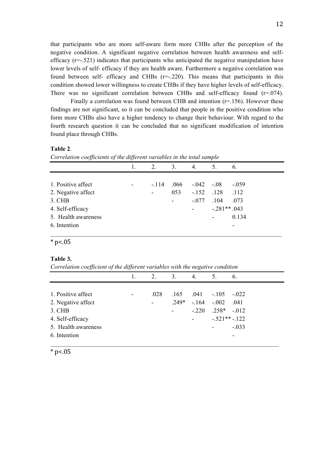that participants who are more self-aware form more CHBs after the perception of the negative condition. A significant negative correlation between health awareness and selfefficacy  $(r=-.521)$  indicates that participants who anticipated the negative manipulation have lower levels of self- efficacy if they are health aware. Furthermore a negative correlation was found between self- efficacy and CHBs (r=-.220). This means that participants in this condition showed lower willingness to create CHBs if they have higher levels of self-efficacy. There was no significant correlation between CHBs and self-efficacy found  $(r=0.074)$ .

Finally a correlation was found between CHB and intention ( $r=156$ ). However these findings are not significant, so it can be concluded that people in the positive condition who form more CHBs also have a higher tendency to change their behaviour. With regard to the fourth research question it can be concluded that no significant modification of intention found place through CHBs.

### **Table 2**.

*Correlation coefficients of the different variables in the total sample*

|                     |   | 2.     | 3.             | 4.      | 5.                       | 6.      |
|---------------------|---|--------|----------------|---------|--------------------------|---------|
|                     |   |        |                |         |                          |         |
| 1. Positive affect  | ٠ | $-114$ | .066           |         | $-.042-.08$              | $-.059$ |
| 2. Negative affect  |   | -      | 053            | $-.152$ | $.128$ $.112$            |         |
| 3. CHB              |   |        | $\blacksquare$ | $-.077$ | .104                     | .073    |
| 4. Self-efficacy    |   |        |                |         | $-.281**.043$            |         |
| 5. Health awareness |   |        |                |         | $\overline{\phantom{a}}$ | 0.134   |
| 6. Intention        |   |        |                |         |                          |         |
|                     |   |        |                |         |                          |         |

 $*$  p<.05

### **Table 3.**

*Correlation coefficient of the different variables with the negative condition*

|                     |                | 2.             | 3.                  | 4.      | 5.                       | 6.      |
|---------------------|----------------|----------------|---------------------|---------|--------------------------|---------|
|                     |                |                |                     |         |                          |         |
| 1. Positive affect  | $\overline{a}$ | .028           | .165                |         | $.041 - .105 - .022$     |         |
| 2. Negative affect  |                | $\blacksquare$ | $.249*$             |         | $-.164-.002$             | .041    |
| 3. CHB              |                |                | $\omega_{\rm{max}}$ | $-.220$ | $.258* -.012$            |         |
| 4. Self-efficacy    |                |                |                     |         | $-521**-122$             |         |
| 5. Health awareness |                |                |                     |         | $\overline{\phantom{a}}$ | $-.033$ |
| 6. Intention        |                |                |                     |         |                          | ۰       |
|                     |                |                |                     |         |                          |         |

 $*$  p<.05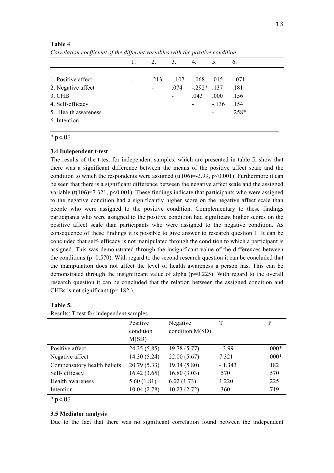|                     |                          | 2.             | 3.      | 4.       | 5.                       | 6.      |
|---------------------|--------------------------|----------------|---------|----------|--------------------------|---------|
|                     |                          |                |         |          |                          |         |
| 1. Positive affect  | $\overline{\phantom{a}}$ | .213           | $-.107$ | $-.068$  | .015                     | $-.071$ |
| 2. Negative affect  |                          | $\blacksquare$ | .074    | $-.292*$ | .137                     | .181    |
| $3.$ CHB            |                          |                | ۰       | .043     | .000                     | .156    |
| 4. Self-efficacy    |                          |                |         |          | $-136$                   | .154    |
| 5. Health awareness |                          |                |         |          | $\overline{\phantom{a}}$ | $.258*$ |
| 6. Intention        |                          |                |         |          |                          |         |

#### **Table 4**.

*Correlation coefficient of the different variables with the positive condition*

 $*$  p<.05

# **3.4 Independent t-test**

The results of the t-test for independent samples, which are presented in table 5, show that there was a significant difference between the means of the positive affect scale and the condition to which the respondents were assigned (t(106)=-3.99, p<0.001). Furthermore it can be seen that there is a significant difference between the negative affect scale and the assigned variable (t(106)=7.321, p<0.001). These findings indicate that participants who were assigned to the negative condition had a significantly higher score on the negative affect scale than people who were assigned to the positive condition. Complementary to these findings participants who were assigned to the positive condition had significant higher scores on the positive affect scale than participants who were assigned to the negative condition. As consequence of these findings it is possible to give answer to research question 1. It can be concluded that self- efficacy is not manipulated through the condition to which a participant is assigned. This was demonstrated through the insignificant value of the differences between the conditions ( $p=0.570$ ). With regard to the second research question it can be concluded that the manipulation does not affect the level of health awareness a person has. This can be demonstrated through the insignificant value of alpha ( $p=0.225$ ). With regard to the overall research question it can be concluded that the relation between the assigned condition and CHBs is not significant ( $p=182$ ).

# **Table 5.**

|                             | Positive     | Negative        |          | P       |
|-----------------------------|--------------|-----------------|----------|---------|
|                             | condition    | condition M(SD) |          |         |
|                             | M(SD)        |                 |          |         |
| Positive affect             | 24.25 (5.85) | 19.78 (5.77)    | $-3.99$  | $.000*$ |
| Negative affect             | 14.30(5.24)  | 22.00(5.67)     | 7.321    | $.000*$ |
| Compensatory health beliefs | 20.79(5.33)  | 19.34(5.80)     | $-1.343$ | .182    |
| Self-efficacy               | 16.42(3.65)  | 16.80(3.03)     | .570     | .570    |
| Health awareness            | 5.60(1.81)   | 6.02(1.73)      | 1.220    | .225    |
| Intention                   | 10.04(2.78)  | 10.23(2.72)     | .360     | .719    |
|                             |              |                 |          |         |

 $*_{p<.05}$ 

### **3.5 Mediator analysis**

Due to the fact that there was no significant correlation found between the independent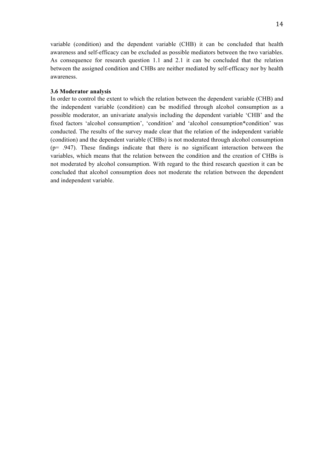variable (condition) and the dependent variable (CHB) it can be concluded that health awareness and self-efficacy can be excluded as possible mediators between the two variables. As consequence for research question 1.1 and 2.1 it can be concluded that the relation between the assigned condition and CHBs are neither mediated by self-efficacy nor by health awareness.

#### **3.6 Moderator analysis**

In order to control the extent to which the relation between the dependent variable (CHB) and the independent variable (condition) can be modified through alcohol consumption as a possible moderator, an univariate analysis including the dependent variable 'CHB' and the fixed factors 'alcohol consumption', 'condition' and 'alcohol consumption\*condition' was conducted. The results of the survey made clear that the relation of the independent variable (condition) and the dependent variable (CHBs) is not moderated through alcohol consumption  $(p= .947)$ . These findings indicate that there is no significant interaction between the variables, which means that the relation between the condition and the creation of CHBs is not moderated by alcohol consumption. With regard to the third research question it can be concluded that alcohol consumption does not moderate the relation between the dependent and independent variable.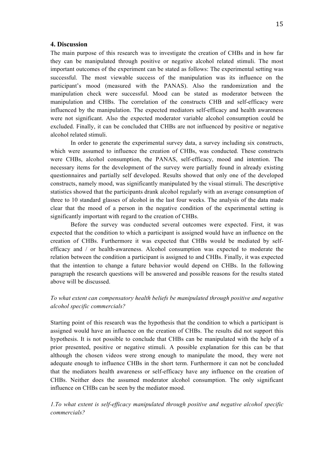# **4. Discussion**

The main purpose of this research was to investigate the creation of CHBs and in how far they can be manipulated through positive or negative alcohol related stimuli. The most important outcomes of the experiment can be stated as follows: The experimental setting was successful. The most viewable success of the manipulation was its influence on the participant's mood (measured with the PANAS). Also the randomization and the manipulation check were successful. Mood can be stated as moderator between the manipulation and CHBs. The correlation of the constructs CHB and self-efficacy were influenced by the manipulation. The expected mediators self-efficacy and health awareness were not significant. Also the expected moderator variable alcohol consumption could be excluded. Finally, it can be concluded that CHBs are not influenced by positive or negative alcohol related stimuli.

In order to generate the experimental survey data, a survey including six constructs, which were assumed to influence the creation of CHBs, was conducted. These constructs were CHBs, alcohol consumption, the PANAS, self-efficacy, mood and intention. The necessary items for the development of the survey were partially found in already existing questionnaires and partially self developed. Results showed that only one of the developed constructs, namely mood, was significantly manipulated by the visual stimuli. The descriptive statistics showed that the participants drank alcohol regularly with an average consumption of three to 10 standard glasses of alcohol in the last four weeks. The analysis of the data made clear that the mood of a person in the negative condition of the experimental setting is significantly important with regard to the creation of CHBs.

Before the survey was conducted several outcomes were expected. First, it was expected that the condition to which a participant is assigned would have an influence on the creation of CHBs. Furthermore it was expected that CHBs would be mediated by selfefficacy and / or health-awareness. Alcohol consumption was expected to moderate the relation between the condition a participant is assigned to and CHBs. Finally, it was expected that the intention to change a future behavior would depend on CHBs. In the following paragraph the research questions will be answered and possible reasons for the results stated above will be discussed.

# *To what extent can compensatory health beliefs be manipulated through positive and negative alcohol specific commercials?*

Starting point of this research was the hypothesis that the condition to which a participant is assigned would have an influence on the creation of CHBs. The results did not support this hypothesis. It is not possible to conclude that CHBs can be manipulated with the help of a prior presented, positive or negative stimuli. A possible explanation for this can be that although the chosen videos were strong enough to manipulate the mood, they were not adequate enough to influence CHBs in the short term. Furthermore it can not be concluded that the mediators health awareness or self-efficacy have any influence on the creation of CHBs. Neither does the assumed moderator alcohol consumption. The only significant influence on CHBs can be seen by the mediator mood.

# *1.To what extent is self-efficacy manipulated through positive and negative alcohol specific commercials?*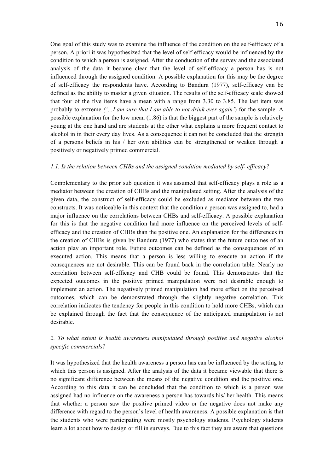One goal of this study was to examine the influence of the condition on the self-efficacy of a person. A priori it was hypothesized that the level of self-efficacy would be influenced by the condition to which a person is assigned. After the conduction of the survey and the associated analysis of the data it became clear that the level of self-efficacy a person has is not influenced through the assigned condition. A possible explanation for this may be the degree of self-efficacy the respondents have. According to Bandura (1977), self-efficacy can be defined as the ability to master a given situation. The results of the self-efficacy scale showed that four of the five items have a mean with a range from 3.30 to 3.85. The last item was probably to extreme *('…I am sure that I am able to not drink ever again'*) for the sample. A possible explanation for the low mean (1.86) is that the biggest part of the sample is relatively young at the one hand and are students at the other what explains a more frequent contact to alcohol in in their every day lives. As a consequence it can not be concluded that the strength of a persons beliefs in his / her own abilities can be strengthened or weaken through a positively or negatively primed commercial.

# *1.1. Is the relation between CHBs and the assigned condition mediated by self- efficacy?*

Complementary to the prior sub question it was assumed that self-efficacy plays a role as a mediator between the creation of CHBs and the manipulated setting. After the analysis of the given data, the construct of self-efficacy could be excluded as mediator between the two constructs. It was noticeable in this context that the condition a person was assigned to, had a major influence on the correlations between CHBs and self-efficacy. A possible explanation for this is that the negative condition had more influence on the perceived levels of selfefficacy and the creation of CHBs than the positive one. An explanation for the differences in the creation of CHBs is given by Bandura (1977) who states that the future outcomes of an action play an important role. Future outcomes can be defined as the consequences of an executed action. This means that a person is less willing to execute an action if the consequences are not desirable. This can be found back in the correlation table. Nearly no correlation between self-efficacy and CHB could be found. This demonstrates that the expected outcomes in the positive primed manipulation were not desirable enough to implement an action. The negatively primed manipulation had more effect on the perceived outcomes, which can be demonstrated through the slightly negative correlation. This correlation indicates the tendency for people in this condition to hold more CHBs, which can be explained through the fact that the consequence of the anticipated manipulation is not desirable.

# *2. To what extent is health awareness manipulated through positive and negative alcohol specific commercials?*

It was hypothesized that the health awareness a person has can be influenced by the setting to which this person is assigned. After the analysis of the data it became viewable that there is no significant difference between the means of the negative condition and the positive one. According to this data it can be concluded that the condition to which is a person was assigned had no influence on the awareness a person has towards his/ her health. This means that whether a person saw the positive primed video or the negative does not make any difference with regard to the person's level of health awareness. A possible explanation is that the students who were participating were mostly psychology students. Psychology students learn a lot about how to design or fill in surveys. Due to this fact they are aware that questions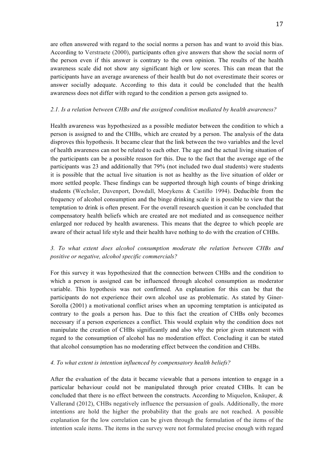are often answered with regard to the social norms a person has and want to avoid this bias. According to Verstraete (2000), participants often give answers that show the social norm of the person even if this answer is contrary to the own opinion. The results of the health awareness scale did not show any significant high or low scores. This can mean that the participants have an average awareness of their health but do not overestimate their scores or answer socially adequate. According to this data it could be concluded that the health awareness does not differ with regard to the condition a person gets assigned to.

# *2.1. Is a relation between CHBs and the assigned condition mediated by health awareness?*

Health awareness was hypothesized as a possible mediator between the condition to which a person is assigned to and the CHBs, which are created by a person. The analysis of the data disproves this hypothesis. It became clear that the link between the two variables and the level of health awareness can not be related to each other. The age and the actual living situation of the participants can be a possible reason for this. Due to the fact that the average age of the participants was 23 and additionally that 79% (not included two dual students) were students it is possible that the actual live situation is not as healthy as the live situation of older or more settled people. These findings can be supported through high counts of binge drinking students (Wechsler, Davenport, Dowdall, Moeykens & Castillo 1994). Deducible from the frequency of alcohol consumption and the binge drinking scale it is possible to view that the temptation to drink is often present. For the overall research question it can be concluded that compensatory health beliefs which are created are not mediated and as consequence neither enlarged nor reduced by health awareness. This means that the degree to which people are aware of their actual life style and their health have nothing to do with the creation of CHBs.

# *3. To what extent does alcohol consumption moderate the relation between CHBs and positive or negative, alcohol specific commercials?*

For this survey it was hypothesized that the connection between CHBs and the condition to which a person is assigned can be influenced through alcohol consumption as moderator variable. This hypothesis was not confirmed. An explanation for this can be that the participants do not experience their own alcohol use as problematic. As stated by Giner-Sorolla (2001) a motivational conflict arises when an upcoming temptation is anticipated as contrary to the goals a person has. Due to this fact the creation of CHBs only becomes necessary if a person experiences a conflict. This would explain why the condition does not manipulate the creation of CHBs significantly and also why the prior given statement with regard to the consumption of alcohol has no moderation effect. Concluding it can be stated that alcohol consumption has no moderating effect between the condition and CHBs.

# *4. To what extent is intention influenced by compensatory health beliefs?*

After the evaluation of the data it became viewable that a persons intention to engage in a particular behaviour could not be manipulated through prior created CHBs. It can be concluded that there is no effect between the constructs. According to Miquelon, Knäuper, & Vallerand (2012), CHBs negatively influence the persuasion of goals. Additionally, the more intentions are hold the higher the probability that the goals are not reached. A possible explanation for the low correlation can be given through the formulation of the items of the intention scale items. The items in the survey were not formulated precise enough with regard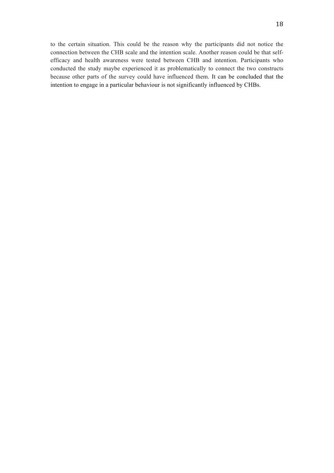to the certain situation. This could be the reason why the participants did not notice the connection between the CHB scale and the intention scale. Another reason could be that selfefficacy and health awareness were tested between CHB and intention. Participants who conducted the study maybe experienced it as problematically to connect the two constructs because other parts of the survey could have influenced them. It can be concluded that the intention to engage in a particular behaviour is not significantly influenced by CHBs.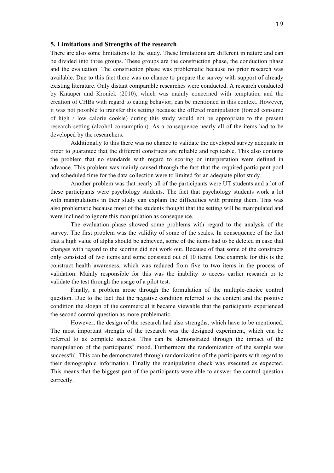### **5. Limitations and Strengths of the research**

There are also some limitations to the study. These limitations are different in nature and can be divided into three groups. These groups are the construction phase, the conduction phase and the evaluation. The construction phase was problematic because no prior research was available. Due to this fact there was no chance to prepare the survey with support of already existing literature. Only distant comparable researches were conducted. A research conducted by Knäuper and Kronick (2010), which was mainly concerned with temptation and the creation of CHBs with regard to eating behavior, can be mentioned in this context. However, it was not possible to transfer this setting because the offered manipulation (forced consume of high / low calorie cookie) during this study would not be appropriate to the present research setting (alcohol consumption). As a consequence nearly all of the items had to be developed by the researchers.

Additionally to this there was no chance to validate the developed survey adequate in order to guarantee that the different constructs are reliable and replicable. This also contains the problem that no standards with regard to scoring or interpretation were defined in advance. This problem was mainly caused through the fact that the required participant pool and scheduled time for the data collection were to limited for an adequate pilot study.

Another problem was that nearly all of the participants were UT students and a lot of these participants were psychology students. The fact that psychology students work a lot with manipulations in their study can explain the difficulties with priming them. This was also problematic because most of the students thought that the setting will be manipulated and were inclined to ignore this manipulation as consequence.

The evaluation phase showed some problems with regard to the analysis of the survey. The first problem was the validity of some of the scales. In consequence of the fact that a high value of alpha should be achieved, some of the items had to be deleted in case that changes with regard to the scoring did not work out. Because of that some of the constructs only consisted of two items and some consisted out of 10 items. One example for this is the construct health awareness, which was reduced from five to two items in the process of validation. Mainly responsible for this was the inability to access earlier research or to validate the test through the usage of a pilot test.

Finally, a problem arose through the formulation of the multiple-choice control question. Due to the fact that the negative condition referred to the content and the positive condition the slogan of the commercial it became viewable that the participants experienced the second control question as more problematic.

However, the design of the research had also strengths, which have to be mentioned. The most important strength of the research was the designed experiment, which can be referred to as complete success. This can be demonstrated through the impact of the manipulation of the participants' mood. Furthermore the randomization of the sample was successful. This can be demonstrated through randomization of the participants with regard to their demographic information. Finally the manipulation check was executed as expected. This means that the biggest part of the participants were able to answer the control question correctly.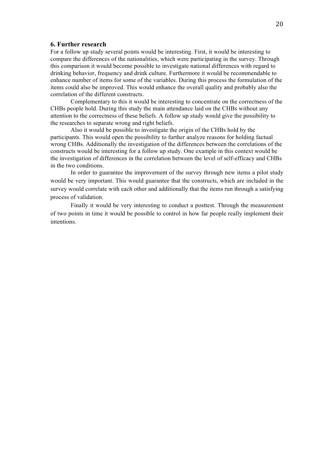# **6. Further research**

For a follow up study several points would be interesting. First, it would be interesting to compare the differences of the nationalities, which were participating in the survey. Through this comparison it would become possible to investigate national differences with regard to drinking behavior, frequency and drink culture. Furthermore it would be recommendable to enhance number of items for some of the variables. During this process the formulation of the items could also be improved. This would enhance the overall quality and probably also the correlation of the different constructs.

Complementary to this it would be interesting to concentrate on the correctness of the CHBs people hold. During this study the main attendance laid on the CHBs without any attention to the correctness of these beliefs. A follow up study would give the possibility to the researches to separate wrong and right beliefs.

Also it would be possible to investigate the origin of the CHBs hold by the participants. This would open the possibility to further analyze reasons for holding factual wrong CHBs. Additionally the investigation of the differences between the correlations of the constructs would be interesting for a follow up study. One example in this context would be the investigation of differences in the correlation between the level of self-efficacy and CHBs in the two conditions.

In order to guarantee the improvement of the survey through new items a pilot study would be very important. This would guarantee that the constructs, which are included in the survey would correlate with each other and additionally that the items run through a satisfying process of validation.

Finally it would be very interesting to conduct a posttest. Through the measurement of two points in time it would be possible to control in how far people really implement their intentions.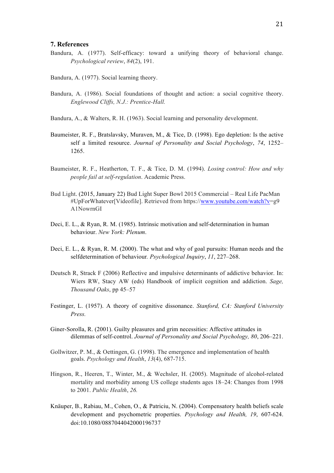# **7. References**

- Bandura, A. (1977). Self-efficacy: toward a unifying theory of behavioral change. *Psychological review*, *84*(2), 191.
- Bandura, A. (1977). Social learning theory.
- Bandura, A. (1986). Social foundations of thought and action: a social cognitive theory. *Englewood Cliffs, N.J.: Prentice-Hall.*
- Bandura, A., & Walters, R. H. (1963). Social learning and personality development.
- Baumeister, R. F., Bratslavsky, Muraven, M., & Tice, D. (1998). Ego depletion: Is the active self a limited resource. *Journal of Personality and Social Psychology*, *74*, 1252– 1265.
- Baumeister, R. F., Heatherton, T. F., & Tice, D. M. (1994). *Losing control: How and why people fail at self-regulation*. Academic Press.
- Bud Light. (2015, January 22) Bud Light Super Bowl 2015 Commercial Real Life PacMan #UpForWhatever[Videofile]. Retrieved from https://www.youtube.com/watch?v=g9 A1NowrnGI
- Deci, E. L., & Ryan, R. M. (1985). Intrinsic motivation and self-determination in human behaviour. *New York: Plenum*.
- Deci, E. L., & Ryan, R. M. (2000). The what and why of goal pursuits: Human needs and the selfdetermination of behaviour*. Psychological Inquiry*, *11*, 227–268.
- Deutsch R, Strack F (2006) Reflective and impulsive determinants of addictive behavior. In: Wiers RW, Stacy AW (eds) Handbook of implicit cognition and addiction. *Sage, Thousand Oaks*, pp 45–57
- Festinger, L. (1957). A theory of cognitive dissonance. *Stanford, CA: Stanford University Press.*
- Giner-Sorolla, R. (2001). Guilty pleasures and grim necessities: Affective attitudes in dilemmas of self-control. *Journal of Personality and Social Psychology, 80*, 206–221.
- Gollwitzer, P. M., & Oettingen, G. (1998). The emergence and implementation of health goals. *Psychology and Health*, *13*(4), 687-715.
- Hingson, R., Heeren, T., Winter, M., & Wechsler, H. (2005). Magnitude of alcohol-related mortality and morbidity among US college students ages 18–24: Changes from 1998 to 2001. *Public Health*, *26.*
- Knäuper, B., Rabiau, M., Cohen, O., & Patriciu, N. (2004). Compensatory health beliefs scale development and psychometric properties. *Psychology and Health, 19*, 607-624. doi:10.1080/0887044042000196737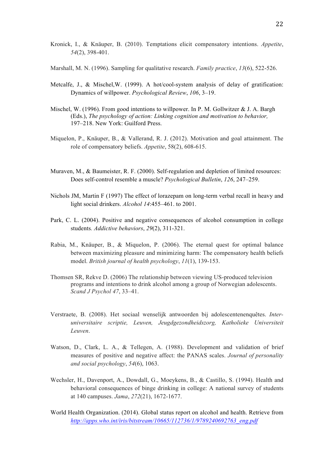- Kronick, I., & Knäuper, B. (2010). Temptations elicit compensatory intentions. *Appetite*, *54*(2), 398-401.
- Marshall, M. N. (1996). Sampling for qualitative research. *Family practice*, *13*(6), 522-526.
- Metcalfe, J., & Mischel,W. (1999). A hot/cool-system analysis of delay of gratification: Dynamics of willpower. *Psychological Review*, *106*, 3–19.
- Mischel, W. (1996). From good intentions to willpower. In P. M. Gollwitzer & J. A. Bargh (Eds.), *The psychology of action: Linking cognition and motivation to behavior,* 197–218. New York: Guilford Press.
- Miquelon, P., Knäuper, B., & Vallerand, R. J. (2012). Motivation and goal attainment. The role of compensatory beliefs. *Appetite*, 58(2), 608-615.
- Muraven, M., & Baumeister, R. F. (2000). Self-regulation and depletion of limited resources: Does self-control resemble a muscle? *Psychological Bulletin*, *126*, 247–259.
- Nichols JM, Martin F (1997) The effect of lorazepam on long-term verbal recall in heavy and light social drinkers. *Alcohol 14*:455–461. to 2001.
- Park, C. L. (2004). Positive and negative consequences of alcohol consumption in college students*. Addictive behaviors*, *29*(2), 311-321.
- Rabia, M., Knäuper, B., & Miquelon, P. (2006). The eternal quest for optimal balance between maximizing pleasure and minimizing harm: The compensatory health beliefs model. *British journal of health psychology*, *11*(1), 139-153.
- Thomsen SR, Rekve D. (2006) The relationship between viewing US-produced television programs and intentions to drink alcohol among a group of Norwegian adolescents. *Scand J Psychol 47*, 33–41.
- Verstraete, B. (2008). Het sociaal wenselijk antwoorden bij adolescentenenquêtes. *Interuniversitaire scriptie, Leuven, Jeugdgezondheidszorg, Katholieke Universiteit Leuven*.
- Watson, D., Clark, L. A., & Tellegen, A. (1988). Development and validation of brief measures of positive and negative affect: the PANAS scales. *Journal of personality and social psychology*, *54*(6), 1063.
- Wechsler, H., Davenport, A., Dowdall, G., Moeykens, B., & Castillo, S. (1994). Health and behavioral consequences of binge drinking in college: A national survey of students at 140 campuses. *Jama*, *272*(21), 1672-1677.
- World Health Organization. (2014). Global status report on alcohol and health. Retrieve from *http://apps.who.int/iris/bitstream/10665/112736/1/9789240692763\_eng.pdf*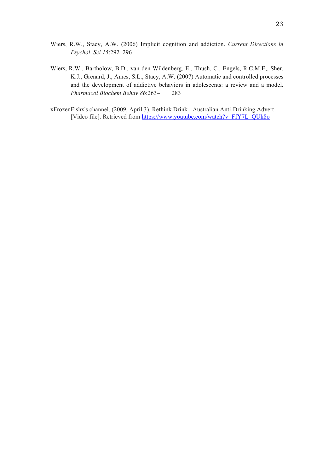- Wiers, R.W., Bartholow, B.D., van den Wildenberg, E., Thush, C., Engels, R.C.M.E,. Sher, K.J., Grenard, J., Ames, S.L., Stacy, A.W. (2007) Automatic and controlled processes and the development of addictive behaviors in adolescents: a review and a model. *Pharmacol Biochem Behav 86*:263– 283
- xFrozenFishx's channel. (2009, April 3). Rethink Drink Australian Anti-Drinking Advert [Video file]. Retrieved from https://www.youtube.com/watch?v=FfY7L\_QUk8o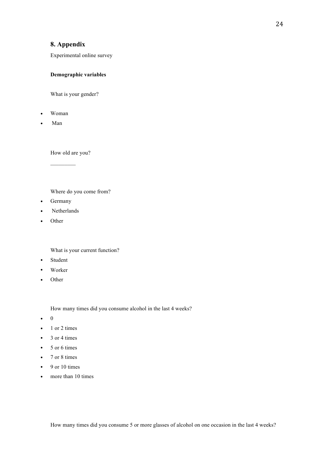# **8. Appendix**

Experimental online survey

# **Demographic variables**

What is your gender?

- Woman
- Man

How old are you?

 $\frac{1}{2}$ 

Where do you come from?

- Germany
- **Netherlands**
- Other

What is your current function?

- Student
- Worker
- Other

How many times did you consume alcohol in the last 4 weeks?

- 0
- 1 or 2 times
- $\bullet$  3 or 4 times
- 5 or 6 times
- 7 or 8 times
- $\bullet$  9 or 10 times
- more than 10 times

How many times did you consume 5 or more glasses of alcohol on one occasion in the last 4 weeks?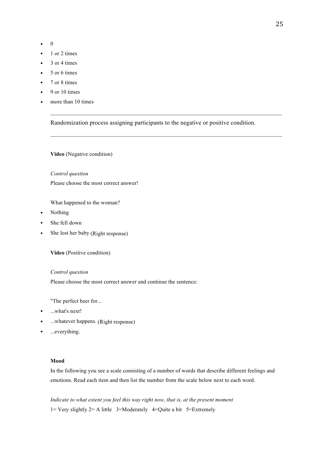- 0
- 1 or 2 times
- 3 or 4 times
- 5 or 6 times
- 7 or 8 times
- $\bullet$  9 or 10 times
- more than 10 times

Randomization process assigning participants to the negative or positive condition.

 $\_$  , and the set of the set of the set of the set of the set of the set of the set of the set of the set of the set of the set of the set of the set of the set of the set of the set of the set of the set of the set of th

**Video** (Negative condition)

### *Control question*

Please choose the most correct answer!

What happened to the woman?

- Nothing
- She fell down
- She lost her baby (Right response)

**Video** (Positive condition)

### *Control question*

Please choose the most correct answer and continue the sentence:

"The perfect beer for...

- ...what's next!
- ...whatever happens. (Right response)
- ...everything.

### **Mood**

In the following you see a scale consisting of a number of words that describe different feelings and emotions. Read each item and then list the number from the scale below next to each word.

*Indicate to what extent you feel this way right now, that is, at the present moment* 1= Very slightly 2= A little 3=Moderately 4=Quite a bit 5=Extremely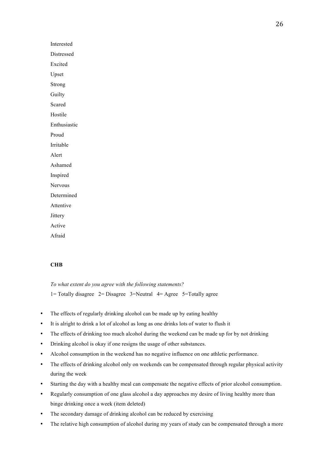**Interested Distressed Excited** • Upset **Strong Guilty Scared Hostile Enthusiastic** • Proud **Irritable** • Alert • Ashamed **Inspired** Nervous • Determined **Attentive Jittery** • Active • Afraid

### **CHB**

*To what extent do you agree with the following statements?* 1= Totally disagree 2= Disagree 3=Neutral  $4=$  Agree 5=Totally agree

- The effects of regularly drinking alcohol can be made up by eating healthy
- It is alright to drink a lot of alcohol as long as one drinks lots of water to flush it
- The effects of drinking too much alcohol during the weekend can be made up for by not drinking
- Drinking alcohol is okay if one resigns the usage of other substances.
- Alcohol consumption in the weekend has no negative influence on one athletic performance.
- The effects of drinking alcohol only on weekends can be compensated through regular physical activity during the week
- Starting the day with a healthy meal can compensate the negative effects of prior alcohol consumption.
- Regularly consumption of one glass alcohol a day approaches my desire of living healthy more than binge drinking once a week (item deleted)
- The secondary damage of drinking alcohol can be reduced by exercising
- The relative high consumption of alcohol during my years of study can be compensated through a more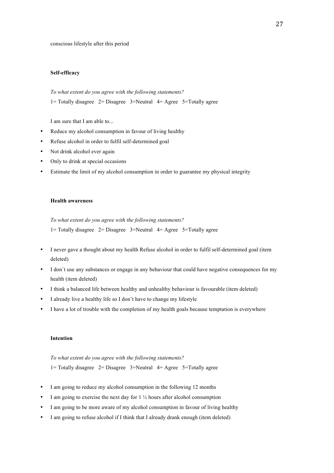conscious lifestyle after this period

# **Self-efficacy**

*To what extent do you agree with the following statements?*

1= Totally disagree  $2=$  Disagree 3=Neutral 4= Agree 5=Totally agree

I am sure that I am able to...

- Reduce my alcohol consumption in favour of living healthy
- Refuse alcohol in order to fulfil self-determined goal
- Not drink alcohol ever again
- Only to drink at special occasions
- Estimate the limit of my alcohol consumption in order to guarantee my physical integrity

### **Health awareness**

*To what extent do you agree with the following statements?*

1= Totally disagree  $2=$  Disagree 3=Neutral 4= Agree 5=Totally agree

- I never gave a thought about my health Refuse alcohol in order to fulfil self-determined goal (item deleted)
- I don´t use any substances or engage in any behaviour that could have negative consequences for my health (item deleted)
- I think a balanced life between healthy and unhealthy behaviour is favourable (item deleted)
- I already live a healthy life so I don't have to change my lifestyle
- I have a lot of trouble with the completion of my health goals because temptation is everywhere

### **Intention**

*To what extent do you agree with the following statements?* 1= Totally disagree 2= Disagree 3=Neutral  $4=$  Agree 5=Totally agree

- I am going to reduce my alcohol consumption in the following 12 months
- I am going to exercise the next day for  $1\frac{1}{2}$  hours after alcohol consumption
- I am going to be more aware of my alcohol consumption in favour of living healthy
- I am going to refuse alcohol if I think that I already drank enough (item deleted)